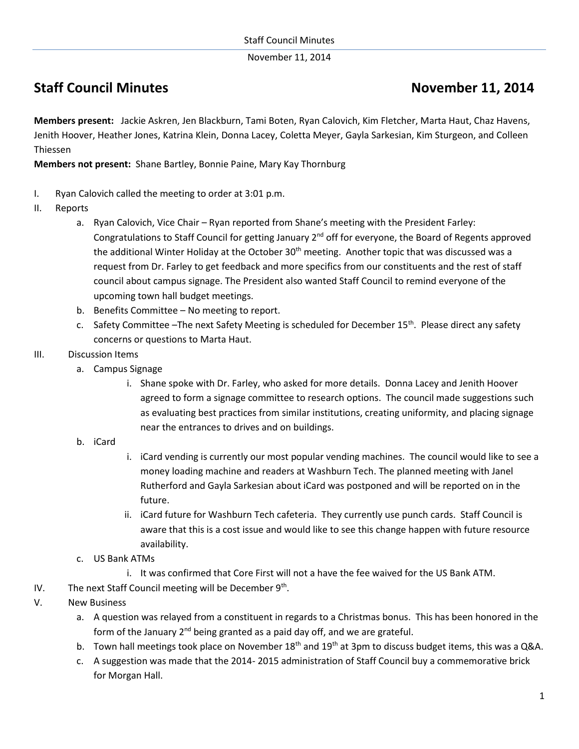November 11, 2014

## **Staff Council Minutes Council Minutes Council Minutes Accouncil Minutes Accouncil Minutes Accouncil Minutes Accouncil Minutes Accouncil Minutes Accouncil Minutes Accouncil Minutes Accouncil Minutes Accouncil Minutes Accou**

**Members present:** Jackie Askren, Jen Blackburn, Tami Boten, Ryan Calovich, Kim Fletcher, Marta Haut, Chaz Havens, Jenith Hoover, Heather Jones, Katrina Klein, Donna Lacey, Coletta Meyer, Gayla Sarkesian, Kim Sturgeon, and Colleen Thiessen

**Members not present:** Shane Bartley, Bonnie Paine, Mary Kay Thornburg

- I. Ryan Calovich called the meeting to order at 3:01 p.m.
- II. Reports
	- a. Ryan Calovich, Vice Chair Ryan reported from Shane's meeting with the President Farley: Congratulations to Staff Council for getting January 2<sup>nd</sup> off for everyone, the Board of Regents approved the additional Winter Holiday at the October  $30<sup>th</sup>$  meeting. Another topic that was discussed was a request from Dr. Farley to get feedback and more specifics from our constituents and the rest of staff council about campus signage. The President also wanted Staff Council to remind everyone of the upcoming town hall budget meetings.
	- b. Benefits Committee No meeting to report.
	- c. Safety Committee –The next Safety Meeting is scheduled for December 15<sup>th</sup>. Please direct any safety concerns or questions to Marta Haut.
- III. Discussion Items
	- a. Campus Signage
		- i. Shane spoke with Dr. Farley, who asked for more details. Donna Lacey and Jenith Hoover agreed to form a signage committee to research options. The council made suggestions such as evaluating best practices from similar institutions, creating uniformity, and placing signage near the entrances to drives and on buildings.
	- b. iCard
- i. iCard vending is currently our most popular vending machines. The council would like to see a money loading machine and readers at Washburn Tech. The planned meeting with Janel Rutherford and Gayla Sarkesian about iCard was postponed and will be reported on in the future.
- ii. iCard future for Washburn Tech cafeteria. They currently use punch cards. Staff Council is aware that this is a cost issue and would like to see this change happen with future resource availability.
- c. US Bank ATMs
	- i. It was confirmed that Core First will not a have the fee waived for the US Bank ATM.
- IV. The next Staff Council meeting will be December 9<sup>th</sup>.
- V. New Business
	- a. A question was relayed from a constituent in regards to a Christmas bonus. This has been honored in the form of the January  $2^{nd}$  being granted as a paid day off, and we are grateful.
	- b. Town hall meetings took place on November  $18<sup>th</sup>$  and  $19<sup>th</sup>$  at 3pm to discuss budget items, this was a Q&A.
	- c. A suggestion was made that the 2014- 2015 administration of Staff Council buy a commemorative brick for Morgan Hall.